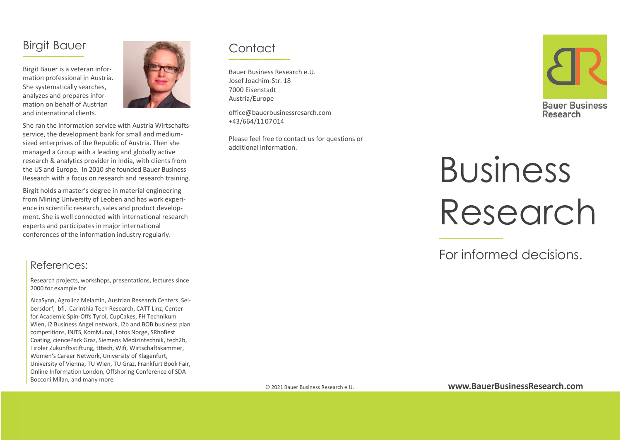## Birgit Bauer

Birgit Bauer is <sup>a</sup> veteran infor‐ mation professional in Austria. She systematically searches, analyzes and prepares infor‐ mation on behalf of Austrian and international clients.



She ran the information service with Austria Wirtschafts‐ service, the development bank for small and medium‐ sized enterprises of the Republic of Austria. Then she managed <sup>a</sup> Group with <sup>a</sup> leading and globally active research & analytics provider in India, with clients from the US and Europe. In 2010 she founded Bauer Business Research with <sup>a</sup> focus on research and research training.

Birgit holds <sup>a</sup> master's degree in material engineering from Mining University of Leoben and has work experi‐ ence in scientific research, sales and product develop‐ ment. She is well connected with international research experts and participates in major international conferences of the information industry regularly.

#### References:

Research projects, workshops, presentations, lectures since 2000 for example for

AlcaSynn, Agrolinz Melamin, Austrian Research Centers Sei‐ bersdorf, bfi, Carinthia Tech Research, CATT Linz, Center for Academic Spin‐Offs Tyrol, CupCakes, FH Technikum Wien, i2 Business Angel network, i2b and BOB business plan competitions, INITS, KomMunai, Lotos Norge, SRhoBest Coating, ciencePark Graz, Siemens Medizintechnik, tech2b, Tiroler Zukunftsstiftung, tttech, Wifi, Wirtschaftskammer, Women's Career Network, University of Klagenfurt, University of Vienna, TU Wien, TU Graz, Frankfurt Book Fair, Online Information London, Offshoring Conference of SDA Bocconi Milan, and many more

## **Contact**

Bauer Business Research e.U. Josef Joachim‐Str. 187000 EisenstadtAustria/Europe

office@bauerbusinessresarch.com +43/664/11 07014

Please feel free to contact us for questions or additional information.



# Business Research

For informed decisions.

© 2021 Bauer Business Research e U